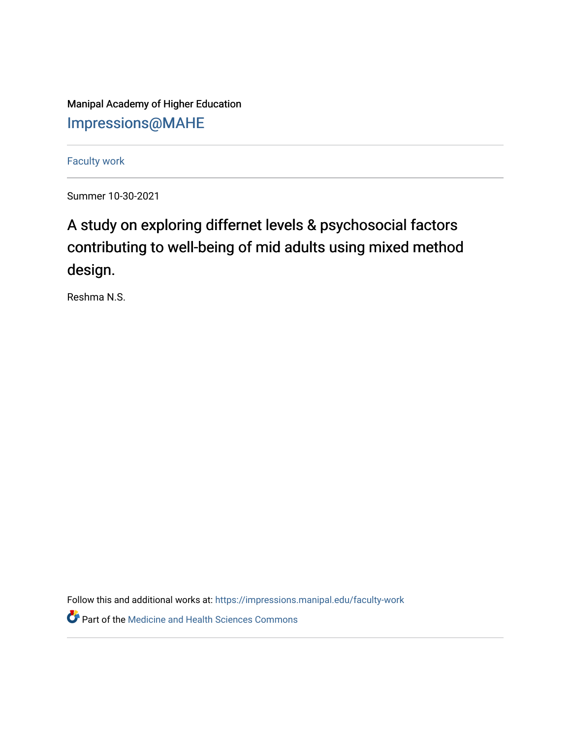Manipal Academy of Higher Education [Impressions@MAHE](https://impressions.manipal.edu/)

[Faculty work](https://impressions.manipal.edu/faculty-work) 

Summer 10-30-2021

## A study on exploring differnet levels & psychosocial factors contributing to well-being of mid adults using mixed method design.

Reshma N.S.

Follow this and additional works at: [https://impressions.manipal.edu/faculty-work](https://impressions.manipal.edu/faculty-work?utm_source=impressions.manipal.edu%2Ffaculty-work%2F112&utm_medium=PDF&utm_campaign=PDFCoverPages) 

**Part of the Medicine and Health Sciences Commons**